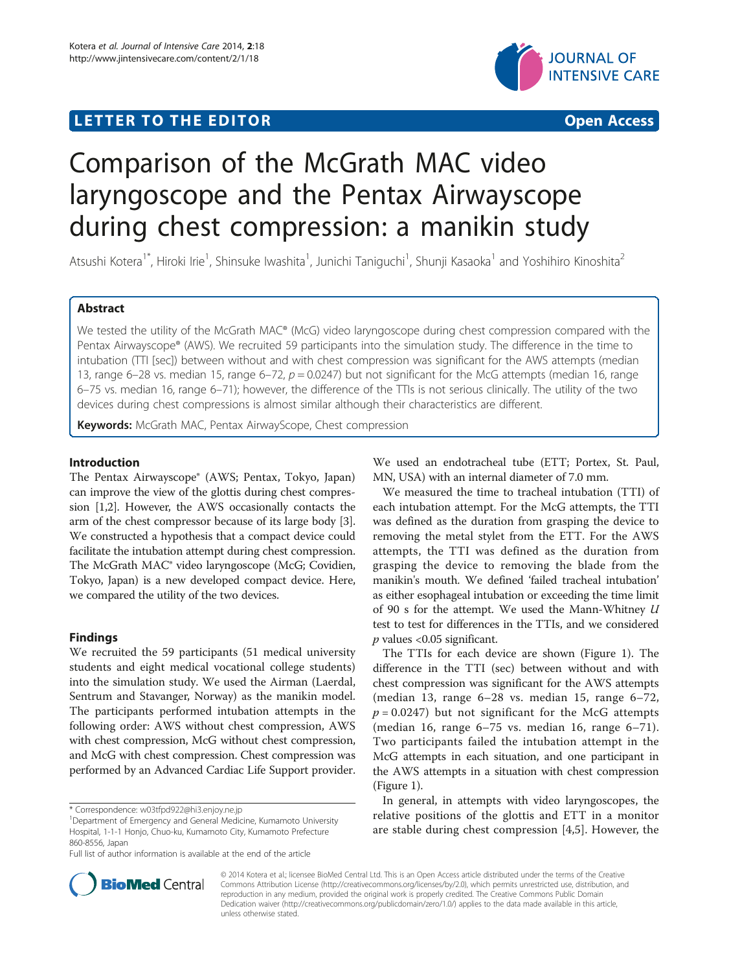## **LETTER TO THE EDITOR CONSIDERING ACCESS**



# Comparison of the McGrath MAC video laryngoscope and the Pentax Airwayscope during chest compression: a manikin study

Atsushi Kotera<sup>1\*</sup>, Hiroki Irie<sup>1</sup>, Shinsuke Iwashita<sup>1</sup>, Junichi Taniguchi<sup>1</sup>, Shunji Kasaoka<sup>1</sup> and Yoshihiro Kinoshita<sup>2</sup>

## Abstract

We tested the utility of the McGrath MAC® (McG) video laryngoscope during chest compression compared with the Pentax Airwayscope® (AWS). We recruited 59 participants into the simulation study. The difference in the time to intubation (TTI [sec]) between without and with chest compression was significant for the AWS attempts (median 13, range 6–28 vs. median 15, range 6–72,  $p = 0.0247$ ) but not significant for the McG attempts (median 16, range 6–75 vs. median 16, range 6–71); however, the difference of the TTIs is not serious clinically. The utility of the two devices during chest compressions is almost similar although their characteristics are different.

Keywords: McGrath MAC, Pentax AirwayScope, Chest compression

## Introduction

The Pentax Airwayscope® (AWS; Pentax, Tokyo, Japan) can improve the view of the glottis during chest compression [[1,2\]](#page-2-0). However, the AWS occasionally contacts the arm of the chest compressor because of its large body [[3](#page-2-0)]. We constructed a hypothesis that a compact device could facilitate the intubation attempt during chest compression. The McGrath MAC® video laryngoscope (McG; Covidien, Tokyo, Japan) is a new developed compact device. Here, we compared the utility of the two devices.

## Findings

We recruited the 59 participants (51 medical university students and eight medical vocational college students) into the simulation study. We used the Airman (Laerdal, Sentrum and Stavanger, Norway) as the manikin model. The participants performed intubation attempts in the following order: AWS without chest compression, AWS with chest compression, McG without chest compression, and McG with chest compression. Chest compression was performed by an Advanced Cardiac Life Support provider.



We measured the time to tracheal intubation (TTI) of each intubation attempt. For the McG attempts, the TTI was defined as the duration from grasping the device to removing the metal stylet from the ETT. For the AWS attempts, the TTI was defined as the duration from grasping the device to removing the blade from the manikin's mouth. We defined 'failed tracheal intubation' as either esophageal intubation or exceeding the time limit of 90 s for the attempt. We used the Mann-Whitney U test to test for differences in the TTIs, and we considered  $p$  values <0.05 significant.

The TTIs for each device are shown (Figure [1\)](#page-1-0). The difference in the TTI (sec) between without and with chest compression was significant for the AWS attempts (median 13, range 6–28 vs. median 15, range 6–72,  $p = 0.0247$ ) but not significant for the McG attempts (median 16, range 6–75 vs. median 16, range 6–71). Two participants failed the intubation attempt in the McG attempts in each situation, and one participant in the AWS attempts in a situation with chest compression (Figure [1](#page-1-0)).

In general, in attempts with video laryngoscopes, the relative positions of the glottis and ETT in a monitor are stable during chest compression [[4,5\]](#page-2-0). However, the



© 2014 Kotera et al.; licensee BioMed Central Ltd. This is an Open Access article distributed under the terms of the Creative Commons Attribution License [\(http://creativecommons.org/licenses/by/2.0\)](http://creativecommons.org/licenses/by/2.0), which permits unrestricted use, distribution, and reproduction in any medium, provided the original work is properly credited. The Creative Commons Public Domain Dedication waiver [\(http://creativecommons.org/publicdomain/zero/1.0/](http://creativecommons.org/publicdomain/zero/1.0/)) applies to the data made available in this article, unless otherwise stated.

<sup>\*</sup> Correspondence: [w03tfpd922@hi3.enjoy.ne.jp](mailto:w03tfpd922@hi3.enjoy.ne.jp) <sup>1</sup>

Department of Emergency and General Medicine, Kumamoto University Hospital, 1-1-1 Honjo, Chuo-ku, Kumamoto City, Kumamoto Prefecture 860-8556, Japan

Full list of author information is available at the end of the article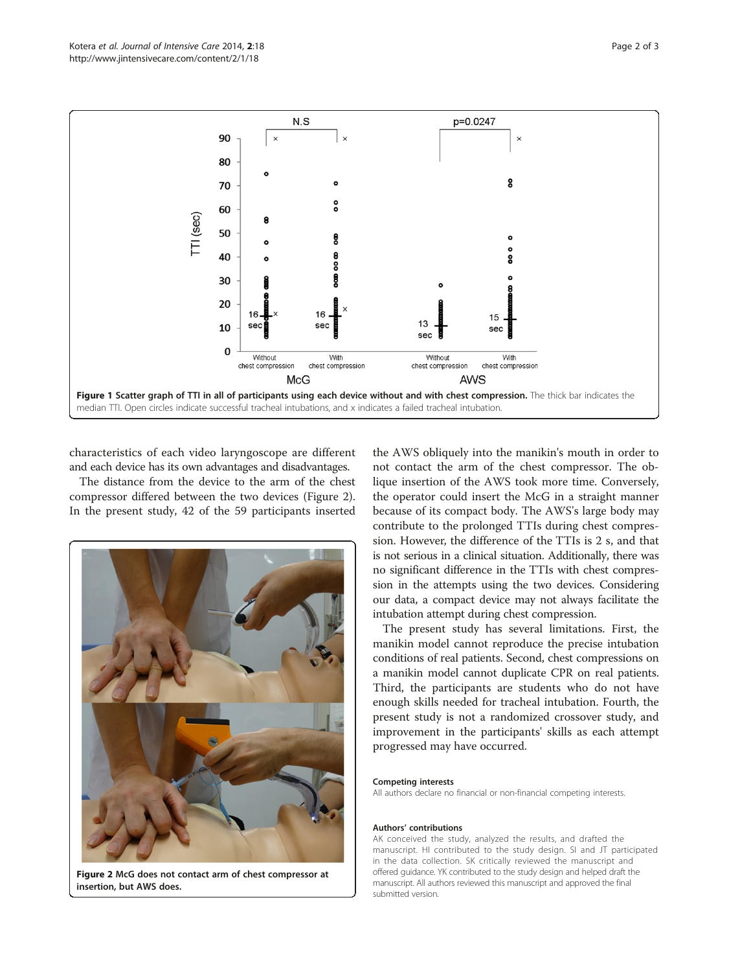<span id="page-1-0"></span>

characteristics of each video laryngoscope are different and each device has its own advantages and disadvantages.

The distance from the device to the arm of the chest compressor differed between the two devices (Figure 2). In the present study, 42 of the 59 participants inserted



Figure 2 McG does not contact arm of chest compressor at insertion, but AWS does.

the AWS obliquely into the manikin's mouth in order to not contact the arm of the chest compressor. The oblique insertion of the AWS took more time. Conversely, the operator could insert the McG in a straight manner because of its compact body. The AWS's large body may contribute to the prolonged TTIs during chest compression. However, the difference of the TTIs is 2 s, and that is not serious in a clinical situation. Additionally, there was no significant difference in the TTIs with chest compression in the attempts using the two devices. Considering our data, a compact device may not always facilitate the intubation attempt during chest compression.

The present study has several limitations. First, the manikin model cannot reproduce the precise intubation conditions of real patients. Second, chest compressions on a manikin model cannot duplicate CPR on real patients. Third, the participants are students who do not have enough skills needed for tracheal intubation. Fourth, the present study is not a randomized crossover study, and improvement in the participants' skills as each attempt progressed may have occurred.

### Competing interests

All authors declare no financial or non-financial competing interests.

#### Authors' contributions

AK conceived the study, analyzed the results, and drafted the manuscript. HI contributed to the study design. SI and JT participated in the data collection. SK critically reviewed the manuscript and offered guidance. YK contributed to the study design and helped draft the manuscript. All authors reviewed this manuscript and approved the final submitted version.